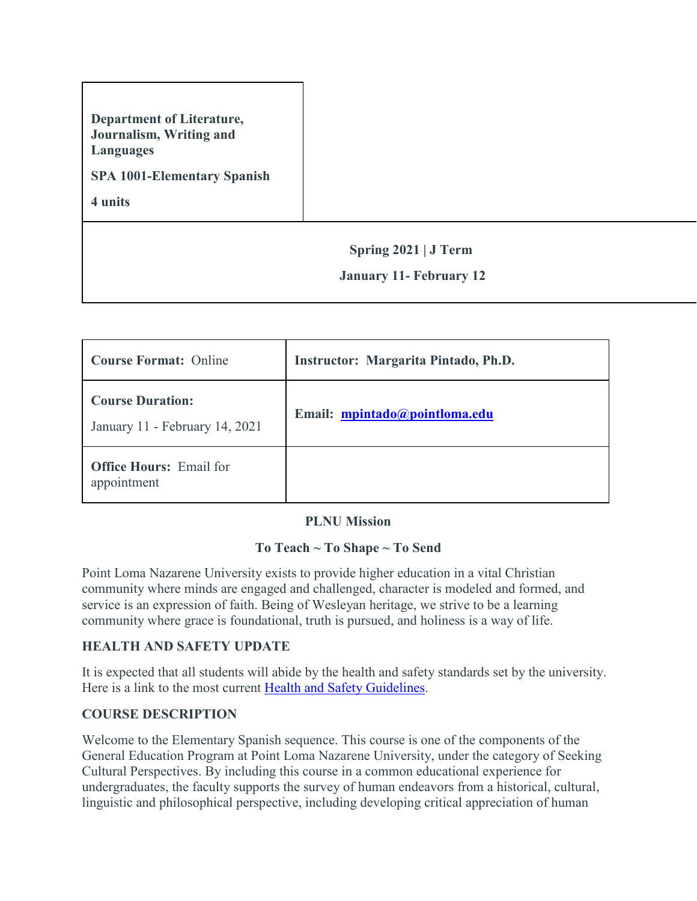# **Department of Literature, Journalism, Writing and Languages**

### **SPA 1001-Elementary Spanish**

**4 units**

## **Spring 2021 | J Term**

### **January 11- February 12**

| <b>Course Format: Online</b>                              | Instructor: Margarita Pintado, Ph.D. |  |  |
|-----------------------------------------------------------|--------------------------------------|--|--|
| <b>Course Duration:</b><br>January 11 - February 14, 2021 | Email: mpintado@pointloma.edu        |  |  |
| <b>Office Hours:</b> Email for<br>appointment             |                                      |  |  |

#### **PLNU Mission**

## **To Teach ~ To Shape ~ To Send**

Point Loma Nazarene University exists to provide higher education in a vital Christian community where minds are engaged and challenged, character is modeled and formed, and service is an expression of faith. Being of Wesleyan heritage, we strive to be a learning community where grace is foundational, truth is pursued, and holiness is a way of life.

## **HEALTH AND SAFETY UPDATE**

It is expected that all students will abide by the health and safety standards set by the university. Here is a link to the most current [Health and Safety Guidelines.](https://www.pointloma.edu/coronavirus-covid-19-information/healthy-safe-community)

## **COURSE DESCRIPTION**

Welcome to the Elementary Spanish sequence. This course is one of the components of the General Education Program at Point Loma Nazarene University, under the category of Seeking Cultural Perspectives. By including this course in a common educational experience for undergraduates, the faculty supports the survey of human endeavors from a historical, cultural, linguistic and philosophical perspective, including developing critical appreciation of human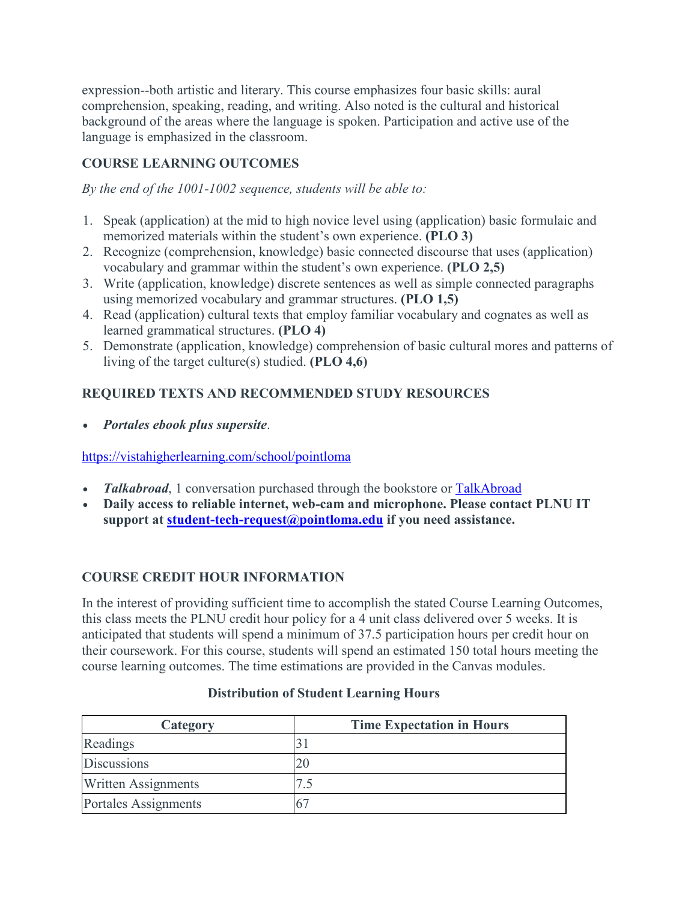expression--both artistic and literary. This course emphasizes four basic skills: aural comprehension, speaking, reading, and writing. Also noted is the cultural and historical background of the areas where the language is spoken. Participation and active use of the language is emphasized in the classroom.

# **COURSE LEARNING OUTCOMES**

*By the end of the 1001-1002 sequence, students will be able to:*

- 1. Speak (application) at the mid to high novice level using (application) basic formulaic and memorized materials within the student's own experience. **(PLO 3)**
- 2. Recognize (comprehension, knowledge) basic connected discourse that uses (application) vocabulary and grammar within the student's own experience. **(PLO 2,5)**
- 3. Write (application, knowledge) discrete sentences as well as simple connected paragraphs using memorized vocabulary and grammar structures. **(PLO 1,5)**
- 4. Read (application) cultural texts that employ familiar vocabulary and cognates as well as learned grammatical structures. **(PLO 4)**
- 5. Demonstrate (application, knowledge) comprehension of basic cultural mores and patterns of living of the target culture(s) studied. **(PLO 4,6)**

# **REQUIRED TEXTS AND RECOMMENDED STUDY RESOURCES**

• *Portales ebook plus supersite*.

## <https://vistahigherlearning.com/school/pointloma>

- *Talkabroad*, 1 conversation purchased through the bookstore or [TalkAbroad](https://talkabroad.com/)
- **Daily access to reliable internet, web-cam and microphone. Please contact PLNU IT support at [student-tech-request@pointloma.edu](https://mail.google.com/mail/?view=cm&fs=1&tf=1&to=student-tech-request@pointloma.edu) if you need assistance.**

## **COURSE CREDIT HOUR INFORMATION**

In the interest of providing sufficient time to accomplish the stated Course Learning Outcomes, this class meets the PLNU credit hour policy for a 4 unit class delivered over 5 weeks. It is anticipated that students will spend a minimum of 37.5 participation hours per credit hour on their coursework. For this course, students will spend an estimated 150 total hours meeting the course learning outcomes. The time estimations are provided in the Canvas modules.

#### **Distribution of Student Learning Hours**

| Category                   | <b>Time Expectation in Hours</b> |
|----------------------------|----------------------------------|
| Readings                   |                                  |
| <b>Discussions</b>         |                                  |
| <b>Written Assignments</b> |                                  |
| Portales Assignments       |                                  |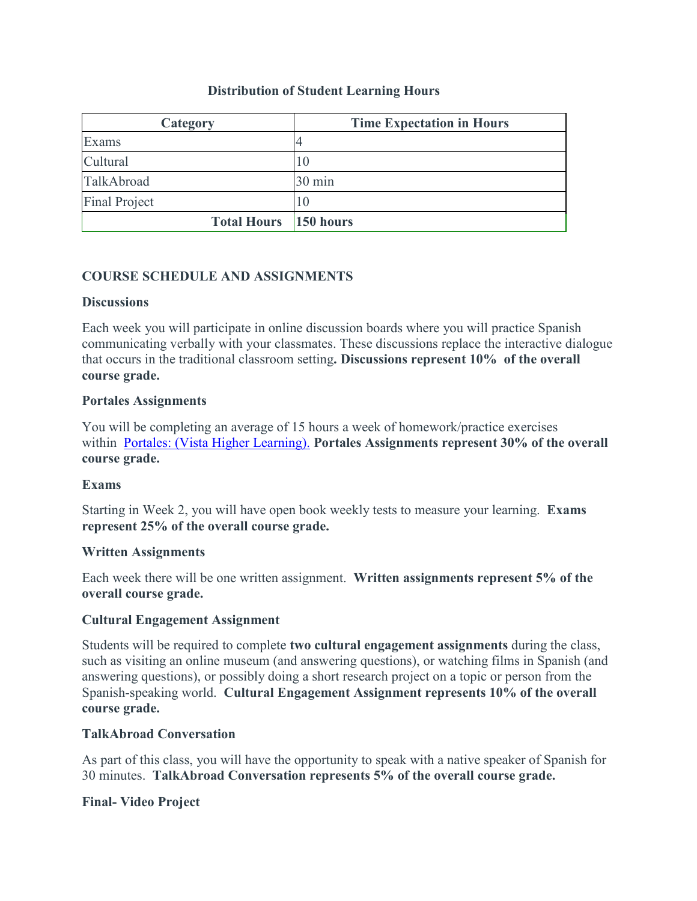### **Distribution of Student Learning Hours**

| Category                     | <b>Time Expectation in Hours</b> |  |
|------------------------------|----------------------------------|--|
| Exams                        |                                  |  |
| Cultural                     | 10                               |  |
| TalkAbroad                   | 30 min                           |  |
| <b>Final Project</b>         | $\vert$ ()                       |  |
| <b>Total Hours</b> 150 hours |                                  |  |

### **COURSE SCHEDULE AND ASSIGNMENTS**

#### **Discussions**

Each week you will participate in online discussion boards where you will practice Spanish communicating verbally with your classmates. These discussions replace the interactive dialogue that occurs in the traditional classroom setting**. Discussions represent 10% of the overall course grade.**

#### **Portales Assignments**

You will be completing an average of 15 hours a week of homework/practice exercises within [Portales: \(Vista Higher Learning\).](https://www.vhlcentral.com/) **Portales Assignments represent 30% of the overall course grade.**

#### **Exams**

Starting in Week 2, you will have open book weekly tests to measure your learning. **Exams represent 25% of the overall course grade.**

#### **Written Assignments**

Each week there will be one written assignment. **Written assignments represent 5% of the overall course grade.**

#### **Cultural Engagement Assignment**

Students will be required to complete **two cultural engagement assignments** during the class, such as visiting an online museum (and answering questions), or watching films in Spanish (and answering questions), or possibly doing a short research project on a topic or person from the Spanish-speaking world. **Cultural Engagement Assignment represents 10% of the overall course grade.**

#### **TalkAbroad Conversation**

As part of this class, you will have the opportunity to speak with a native speaker of Spanish for 30 minutes. **TalkAbroad Conversation represents 5% of the overall course grade.**

#### **Final- Video Project**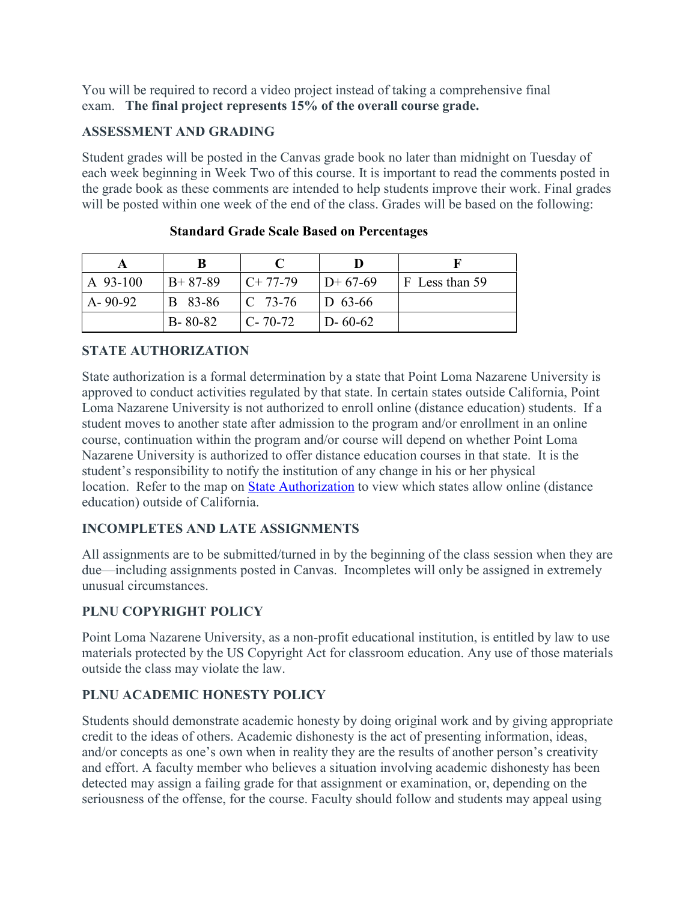You will be required to record a video project instead of taking a comprehensive final exam. **The final project represents 15% of the overall course grade.**

### **ASSESSMENT AND GRADING**

Student grades will be posted in the Canvas grade book no later than midnight on Tuesday of each week beginning in Week Two of this course. It is important to read the comments posted in the grade book as these comments are intended to help students improve their work. Final grades will be posted within one week of the end of the class. Grades will be based on the following:

| A 93-100      | $B+87-89$      | $C+77-79$           | $D+67-69$     | $\vert$ F Less than 59 |
|---------------|----------------|---------------------|---------------|------------------------|
| $A - 90 - 92$ | <b>B</b> 83-86 | $\mathsf{IC}$ 73-76 | $ D 63-66 $   |                        |
|               | $B - 80 - 82$  | $C - 70 - 72$       | $D - 60 - 62$ |                        |

#### **Standard Grade Scale Based on Percentages**

## **STATE AUTHORIZATION**

State authorization is a formal determination by a state that Point Loma Nazarene University is approved to conduct activities regulated by that state. In certain states outside California, Point Loma Nazarene University is not authorized to enroll online (distance education) students. If a student moves to another state after admission to the program and/or enrollment in an online course, continuation within the program and/or course will depend on whether Point Loma Nazarene University is authorized to offer distance education courses in that state. It is the student's responsibility to notify the institution of any change in his or her physical location. Refer to the map on [State Authorization](https://www.pointloma.edu/offices/office-institutional-effectiveness-research/disclosures) to view which states allow online (distance education) outside of California.

## **INCOMPLETES AND LATE ASSIGNMENTS**

All assignments are to be submitted/turned in by the beginning of the class session when they are due—including assignments posted in Canvas. Incompletes will only be assigned in extremely unusual circumstances.

## **PLNU COPYRIGHT POLICY**

Point Loma Nazarene University, as a non-profit educational institution, is entitled by law to use materials protected by the US Copyright Act for classroom education. Any use of those materials outside the class may violate the law.

## **PLNU ACADEMIC HONESTY POLICY**

Students should demonstrate academic honesty by doing original work and by giving appropriate credit to the ideas of others. Academic dishonesty is the act of presenting information, ideas, and/or concepts as one's own when in reality they are the results of another person's creativity and effort. A faculty member who believes a situation involving academic dishonesty has been detected may assign a failing grade for that assignment or examination, or, depending on the seriousness of the offense, for the course. Faculty should follow and students may appeal using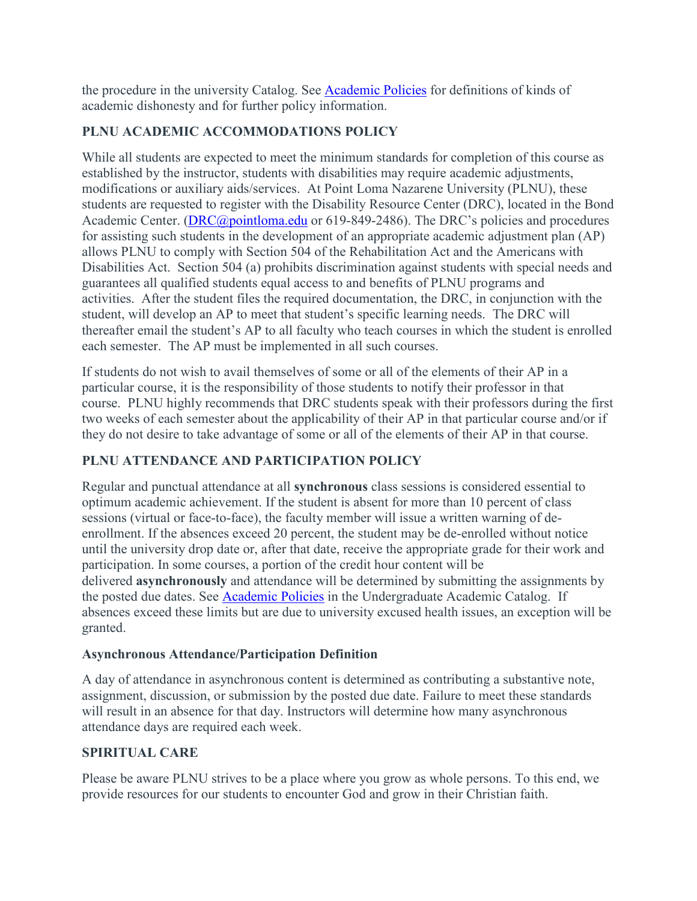the procedure in the university Catalog. See [Academic Policies](http://catalog.pointloma.edu/content.php?catoid=18&navoid=1278) for definitions of kinds of academic dishonesty and for further policy information.

## **PLNU ACADEMIC ACCOMMODATIONS POLICY**

While all students are expected to meet the minimum standards for completion of this course as established by the instructor, students with disabilities may require academic adjustments, modifications or auxiliary aids/services. At Point Loma Nazarene University (PLNU), these students are requested to register with the Disability Resource Center (DRC), located in the Bond Academic Center. [\(DRC@pointloma.edu](mailto:DRC@pointloma.edu) or 619-849-2486). The DRC's policies and procedures for assisting such students in the development of an appropriate academic adjustment plan (AP) allows PLNU to comply with Section 504 of the Rehabilitation Act and the Americans with Disabilities Act. Section 504 (a) prohibits discrimination against students with special needs and guarantees all qualified students equal access to and benefits of PLNU programs and activities. After the student files the required documentation, the DRC, in conjunction with the student, will develop an AP to meet that student's specific learning needs. The DRC will thereafter email the student's AP to all faculty who teach courses in which the student is enrolled each semester. The AP must be implemented in all such courses.

If students do not wish to avail themselves of some or all of the elements of their AP in a particular course, it is the responsibility of those students to notify their professor in that course. PLNU highly recommends that DRC students speak with their professors during the first two weeks of each semester about the applicability of their AP in that particular course and/or if they do not desire to take advantage of some or all of the elements of their AP in that course.

## **PLNU ATTENDANCE AND PARTICIPATION POLICY**

Regular and punctual attendance at all **synchronous** class sessions is considered essential to optimum academic achievement. If the student is absent for more than 10 percent of class sessions (virtual or face-to-face), the faculty member will issue a written warning of deenrollment. If the absences exceed 20 percent, the student may be de-enrolled without notice until the university drop date or, after that date, receive the appropriate grade for their work and participation. In some courses, a portion of the credit hour content will be delivered **asynchronously** and attendance will be determined by submitting the assignments by the posted due dates. See [Academic Policies](https://catalog.pointloma.edu/content.php?catoid=46&navoid=2650#Class_Attendance) in the Undergraduate Academic Catalog. If absences exceed these limits but are due to university excused health issues, an exception will be granted.

#### **Asynchronous Attendance/Participation Definition**

A day of attendance in asynchronous content is determined as contributing a substantive note, assignment, discussion, or submission by the posted due date. Failure to meet these standards will result in an absence for that day. Instructors will determine how many asynchronous attendance days are required each week.

## **SPIRITUAL CARE**

Please be aware PLNU strives to be a place where you grow as whole persons. To this end, we provide resources for our students to encounter God and grow in their Christian faith.